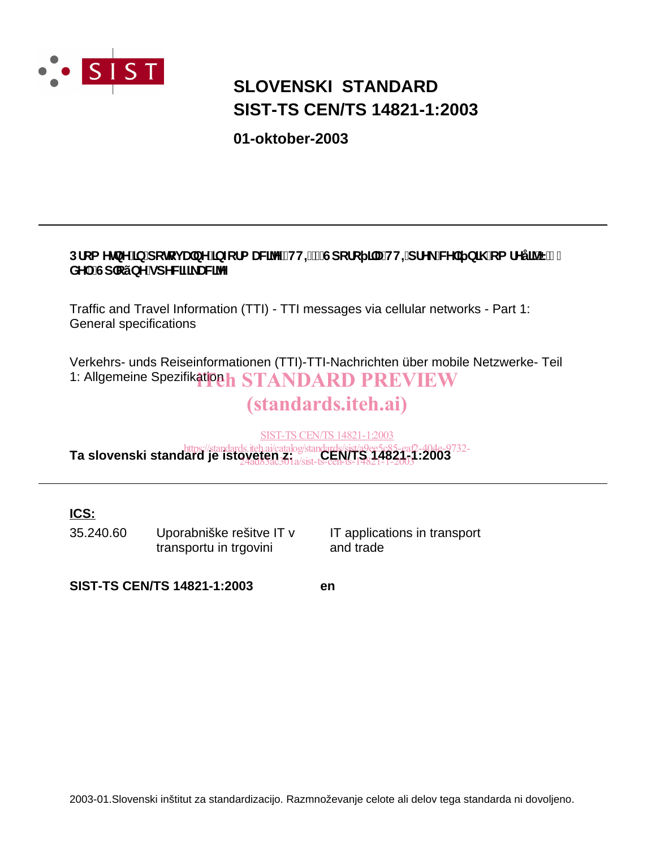

# **SIST-TS CEN/TS 14821-1:2003 SLOVENSKI STANDARD**

**01-oktober-2003**

### Dfca YlbY']b'dclcj UbY']bZtfa UNYY'fHHŁ!'Gdcfc ]'U'HH=dfY\_'WY'] b]\ 'ca fYÿ]^Ë'%' XY. Gd'cýbYgdYWZ UWY

Traffic and Travel Information (TTI) - TTI messages via cellular networks - Part 1: General specifications

Verkehrs- unds Reiseinformationen (TTI)-TTI-Nachrichten über mobile Netzwerke- Teil 1: Allgemeine Spezifikation het STANDARD PREVIEW

# (standards.iteh.ai)

SIST-TS CEN/TS 14821-1:2003

https://standards.iteh.ai/catalog/standards/sist/a9ee5c85-eaf2-404e-9732-<br>**Ta slovenski standard je istoveten z. a/cist. CEN/TS 34821-1:2003** 24ad83ac301a/sist-ts-cen-ts-14821-1-2003

### **ICS:**

35.240.60 Uporabniške rešitve IT v transportu in trgovini

IT applications in transport and trade

**SIST-TS CEN/TS 14821-1:2003 en**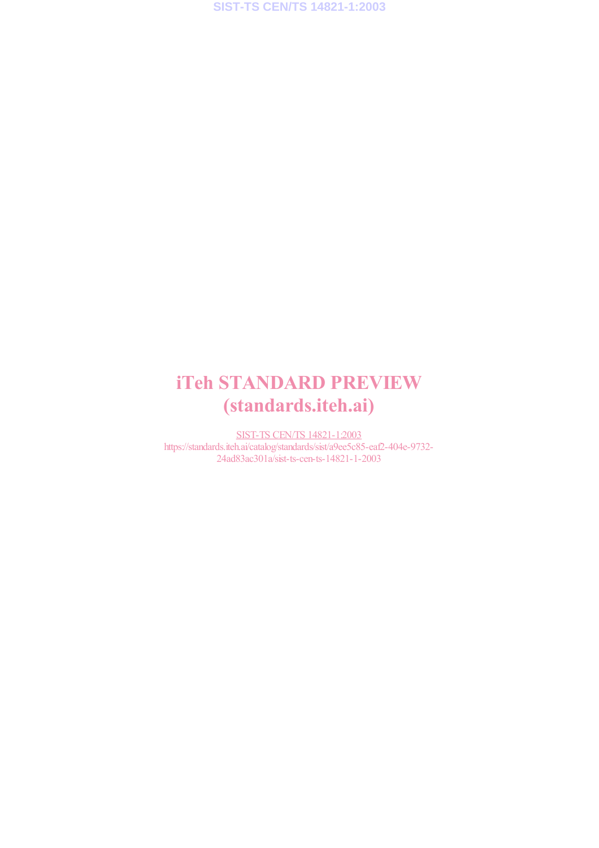# iTeh STANDARD PREVIEW (standards.iteh.ai)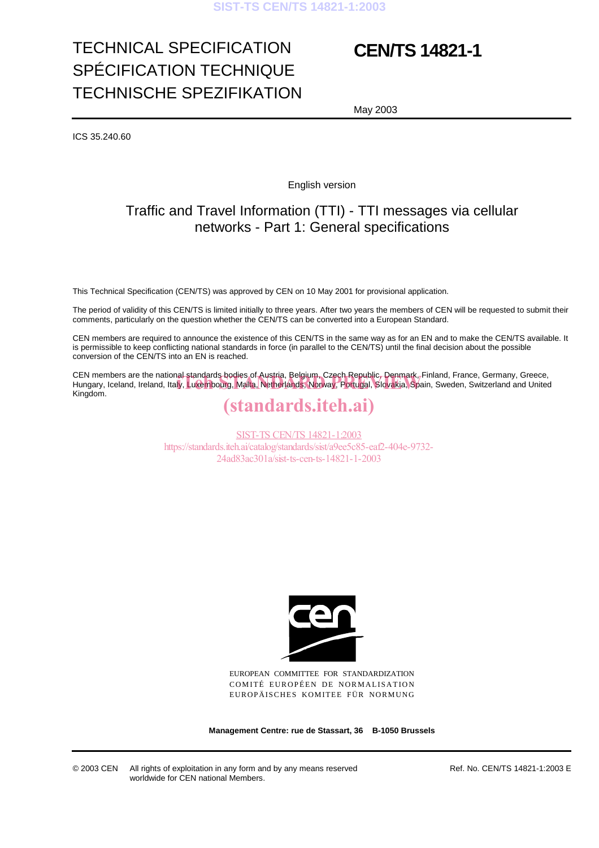# TECHNICAL SPECIFICATION SPÉCIFICATION TECHNIQUE TECHNISCHE SPEZIFIKATION

# **CEN/TS 14821-1**

May 2003

ICS 35.240.60

English version

### Traffic and Travel Information (TTI) - TTI messages via cellular networks - Part 1: General specifications

This Technical Specification (CEN/TS) was approved by CEN on 10 May 2001 for provisional application.

The period of validity of this CEN/TS is limited initially to three years. After two years the members of CEN will be requested to submit their comments, particularly on the question whether the CEN/TS can be converted into a European Standard.

CEN members are required to announce the existence of this CEN/TS in the same way as for an EN and to make the CEN/TS available. It is permissible to keep conflicting national standards in force (in parallel to the CEN/TS) until the final decision about the possible conversion of the CEN/TS into an EN is reached.

CEN members are the national standards bodies of Austria, Belgium, Czech Republic, Denmark, Finland, France, Germany, Greece, CEN members are the national-standards-bodies of Austria, Belgium, Czech Republic, Denmark, Finland, France, Germany, Greece,<br>Hungary, Iceland, Ireland, Italy, Luxembourg, Malta, Netherlands, Norway, Portugal, Slovakia, Sp Kingdom.

# (standards.iteh.ai)

SIST-TS CEN/TS 14821-1:2003 https://standards.iteh.ai/catalog/standards/sist/a9ee5c85-eaf2-404e-9732- 24ad83ac301a/sist-ts-cen-ts-14821-1-2003



EUROPEAN COMMITTEE FOR STANDARDIZATION COMITÉ EUROPÉEN DE NORMALISATION EUROPÄISCHES KOMITEE FÜR NORMUNG

**Management Centre: rue de Stassart, 36 B-1050 Brussels**

© 2003 CEN All rights of exploitation in any form and by any means reserved worldwide for CEN national Members.

Ref. No. CEN/TS 14821-1:2003 E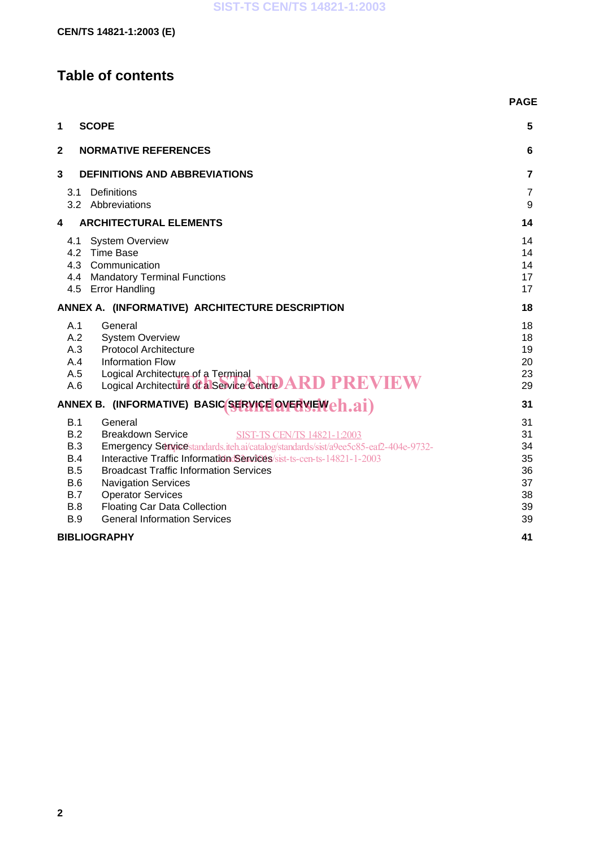# **Table of contents**

|                                                                                                                                                                                                                                                                                                                                                                                                                                                                                                                | <b>PAGE</b>                                        |
|----------------------------------------------------------------------------------------------------------------------------------------------------------------------------------------------------------------------------------------------------------------------------------------------------------------------------------------------------------------------------------------------------------------------------------------------------------------------------------------------------------------|----------------------------------------------------|
| 1<br><b>SCOPE</b>                                                                                                                                                                                                                                                                                                                                                                                                                                                                                              | 5                                                  |
| $\mathbf 2$<br><b>NORMATIVE REFERENCES</b>                                                                                                                                                                                                                                                                                                                                                                                                                                                                     | 6                                                  |
| 3<br><b>DEFINITIONS AND ABBREVIATIONS</b>                                                                                                                                                                                                                                                                                                                                                                                                                                                                      | 7                                                  |
| Definitions<br>3.1<br>3.2 Abbreviations                                                                                                                                                                                                                                                                                                                                                                                                                                                                        | 7<br>9                                             |
| <b>ARCHITECTURAL ELEMENTS</b><br>4                                                                                                                                                                                                                                                                                                                                                                                                                                                                             | 14                                                 |
| <b>System Overview</b><br>4.1<br>4.2 Time Base<br>4.3 Communication<br>4.4 Mandatory Terminal Functions<br><b>Error Handling</b><br>4.5                                                                                                                                                                                                                                                                                                                                                                        | 14<br>14<br>14<br>17<br>17                         |
| ANNEX A. (INFORMATIVE) ARCHITECTURE DESCRIPTION                                                                                                                                                                                                                                                                                                                                                                                                                                                                | 18                                                 |
| A.1<br>General<br>A.2<br><b>System Overview</b><br>A.3<br><b>Protocol Architecture</b><br>A.4<br><b>Information Flow</b><br>A.5<br>Logical Architecture of a Terminal<br>Logical Architecture of a Service Centre ARD PREVIEW<br>A.6                                                                                                                                                                                                                                                                           | 18<br>18<br>19<br>20<br>23<br>29                   |
| ANNEX B. (INFORMATIVE) BASIC SERVICE OVERVENCH.ai)                                                                                                                                                                                                                                                                                                                                                                                                                                                             | 31                                                 |
| B.1<br>General<br>B.2<br><b>Breakdown Service</b><br><b>SIST-TS CEN/TS 14821-1:2003</b><br>B.3<br>Emergency Service standards.iteh.ai/catalog/standards/sist/a9ee5c85-eaf2-404e-9732-<br>B.4<br>Interactive Traffic Information Services/sist-ts-cen-ts-14821-1-2003<br>B.5<br><b>Broadcast Traffic Information Services</b><br>B.6<br><b>Navigation Services</b><br>B.7<br><b>Operator Services</b><br><b>Floating Car Data Collection</b><br><b>B.8</b><br><b>General Information Services</b><br><b>B.9</b> | 31<br>31<br>34<br>35<br>36<br>37<br>38<br>39<br>39 |
| <b>BIBLIOGRAPHY</b>                                                                                                                                                                                                                                                                                                                                                                                                                                                                                            | 41                                                 |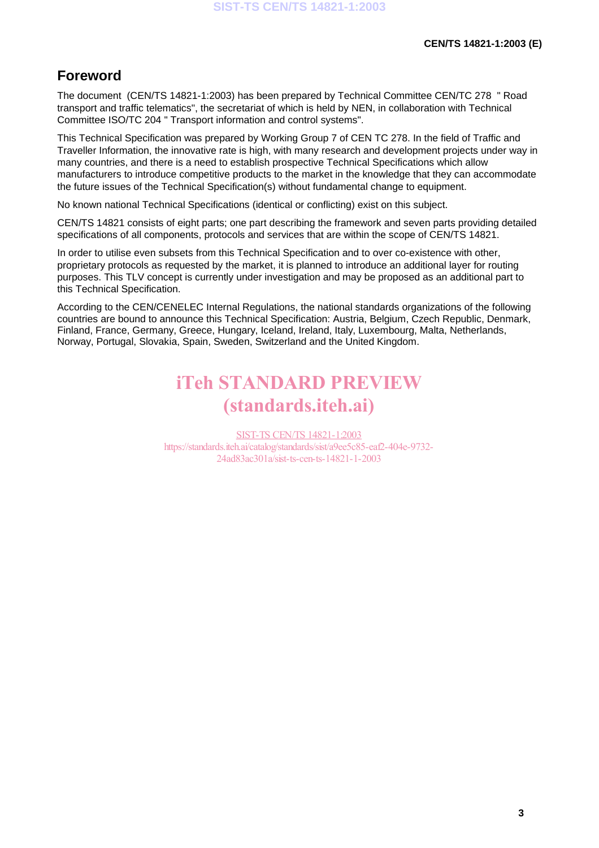### **Foreword**

The document (CEN/TS 14821-1:2003) has been prepared by Technical Committee CEN/TC 278 " Road transport and traffic telematics", the secretariat of which is held by NEN, in collaboration with Technical Committee ISO/TC 204 " Transport information and control systems".

This Technical Specification was prepared by Working Group 7 of CEN TC 278. In the field of Traffic and Traveller Information, the innovative rate is high, with many research and development projects under way in many countries, and there is a need to establish prospective Technical Specifications which allow manufacturers to introduce competitive products to the market in the knowledge that they can accommodate the future issues of the Technical Specification(s) without fundamental change to equipment.

No known national Technical Specifications (identical or conflicting) exist on this subject.

CEN/TS 14821 consists of eight parts; one part describing the framework and seven parts providing detailed specifications of all components, protocols and services that are within the scope of CEN/TS 14821.

In order to utilise even subsets from this Technical Specification and to over co-existence with other, proprietary protocols as requested by the market, it is planned to introduce an additional layer for routing purposes. This TLV concept is currently under investigation and may be proposed as an additional part to this Technical Specification.

According to the CEN/CENELEC Internal Regulations, the national standards organizations of the following countries are bound to announce this Technical Specification: Austria, Belgium, Czech Republic, Denmark, Finland, France, Germany, Greece, Hungary, Iceland, Ireland, Italy, Luxembourg, Malta, Netherlands, Norway, Portugal, Slovakia, Spain, Sweden, Switzerland and the United Kingdom.

# iTeh STANDARD PREVIEW (standards.iteh.ai)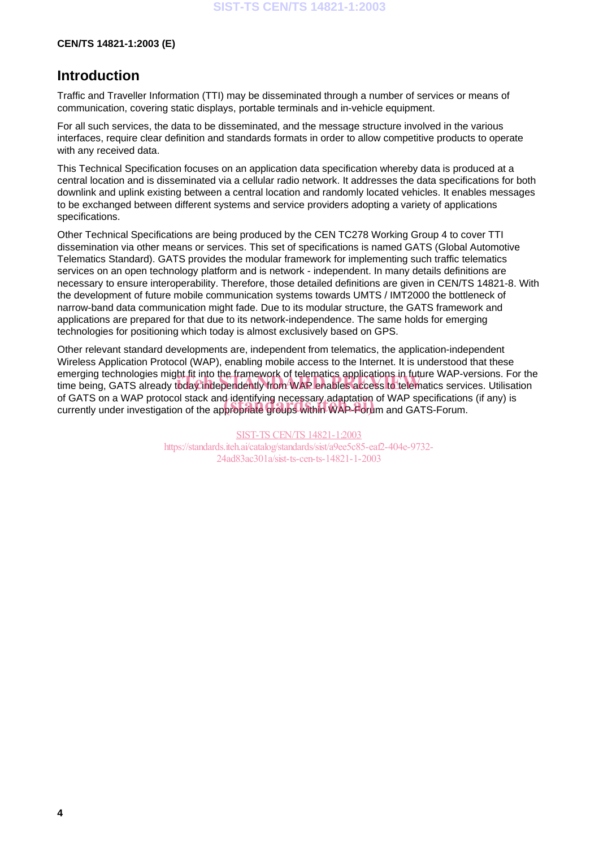#### **CEN/TS 14821-1:2003 (E)**

### **Introduction**

Traffic and Traveller Information (TTI) may be disseminated through a number of services or means of communication, covering static displays, portable terminals and in-vehicle equipment.

For all such services, the data to be disseminated, and the message structure involved in the various interfaces, require clear definition and standards formats in order to allow competitive products to operate with any received data.

This Technical Specification focuses on an application data specification whereby data is produced at a central location and is disseminated via a cellular radio network. It addresses the data specifications for both downlink and uplink existing between a central location and randomly located vehicles. It enables messages to be exchanged between different systems and service providers adopting a variety of applications specifications.

Other Technical Specifications are being produced by the CEN TC278 Working Group 4 to cover TTI dissemination via other means or services. This set of specifications is named GATS (Global Automotive Telematics Standard). GATS provides the modular framework for implementing such traffic telematics services on an open technology platform and is network - independent. In many details definitions are necessary to ensure interoperability. Therefore, those detailed definitions are given in CEN/TS 14821-8. With the development of future mobile communication systems towards UMTS / IMT2000 the bottleneck of narrow-band data communication might fade. Due to its modular structure, the GATS framework and applications are prepared for that due to its network-independence. The same holds for emerging technologies for positioning which today is almost exclusively based on GPS.

Other relevant standard developments are, independent from telematics, the application-independent Wireless Application Protocol (WAP), enabling mobile access to the Internet. It is understood that these emerging technologies might fit into the framework of telematics applications in future WAP-versions. For the emerging technologies might in into the tramework of telematics applications in future WAP-versions. For th<br>time being, GATS already today independently from WAP enables access to telematics services. Utilisation of GATS on a WAP protocol stack and identifying necessary adaptation of WAP specifications (if any) is of GATS on a WAP protocol stack and identifying necessary adaptation of WAP specification<br>currently under investigation of the appropriate groups within WAP-Forum and GATS-Forum.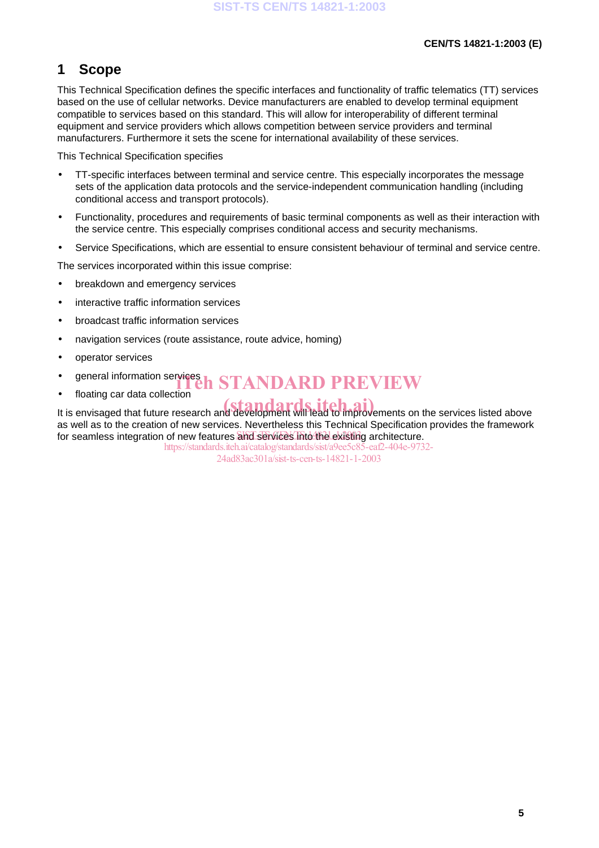### **1 Scope**

This Technical Specification defines the specific interfaces and functionality of traffic telematics (TT) services based on the use of cellular networks. Device manufacturers are enabled to develop terminal equipment compatible to services based on this standard. This will allow for interoperability of different terminal equipment and service providers which allows competition between service providers and terminal manufacturers. Furthermore it sets the scene for international availability of these services.

This Technical Specification specifies

- TT-specific interfaces between terminal and service centre. This especially incorporates the message sets of the application data protocols and the service-independent communication handling (including conditional access and transport protocols).
- Functionality, procedures and requirements of basic terminal components as well as their interaction with the service centre. This especially comprises conditional access and security mechanisms.
- Service Specifications, which are essential to ensure consistent behaviour of terminal and service centre.

The services incorporated within this issue comprise:

- breakdown and emergency services
- interactive traffic information services
- broadcast traffic information services
- navigation services (route assistance, route advice, homing)
- operator services
- general information services<br> **intervalsed information services**<br> **intervalsed in STANDARD PREVIEW**
- floating car data collection

It is envisaged that future research and development will lead to improvements on the services listed above as well as to the creation of new services. Nevertheless this Technical Specification provides the framework for seamless integration of new features and services into the existing architecture. https://standards.iteh.ai/catalog/standards/sist/a9ee5c85-eaf2-404e-9732-

24ad83ac301a/sist-ts-cen-ts-14821-1-2003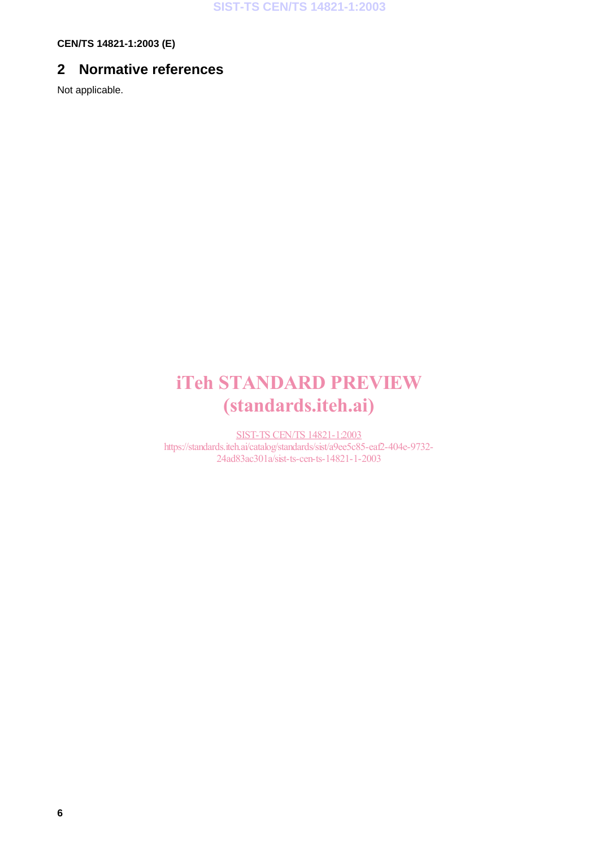**CEN/TS 14821-1:2003 (E)**

## **2 Normative references**

Not applicable.

# iTeh STANDARD PREVIEW (standards.iteh.ai)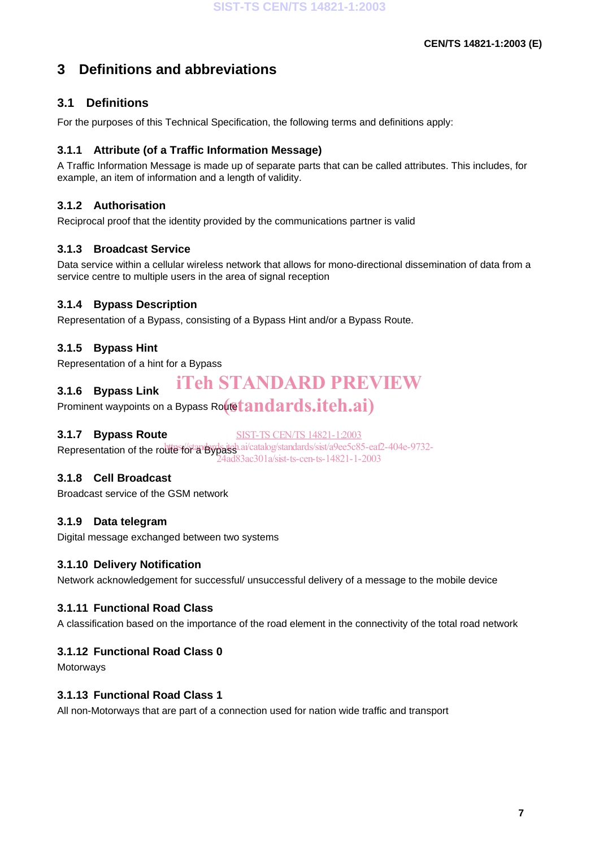## **3 Definitions and abbreviations**

### **3.1 Definitions**

For the purposes of this Technical Specification, the following terms and definitions apply:

#### **3.1.1 Attribute (of a Traffic Information Message)**

A Traffic Information Message is made up of separate parts that can be called attributes. This includes, for example, an item of information and a length of validity.

#### **3.1.2 Authorisation**

Reciprocal proof that the identity provided by the communications partner is valid

#### **3.1.3 Broadcast Service**

Data service within a cellular wireless network that allows for mono-directional dissemination of data from a service centre to multiple users in the area of signal reception

#### **3.1.4 Bypass Description**

Representation of a Bypass, consisting of a Bypass Hint and/or a Bypass Route.

#### **3.1.5 Bypass Hint**

**3.1.6 Bypass Link**

Representation of a hint for a Bypass

## iTeh STANDARD PREVIEW

Prominent waypoints on a Bypass Ro $($ 6 $tands.iteh.ai)$ 

#### **3.1.7 Bypass Route**

SIST-TS CEN/TS 14821-1:2003

Representation of the route for a Bypassical catalog/standards/sist/a9ee5c85-eaf2-404e-9732-24ad83ac301a/sist-ts-cen-ts-14821-1-2003

#### **3.1.8 Cell Broadcast**

Broadcast service of the GSM network

#### **3.1.9 Data telegram**

Digital message exchanged between two systems

#### **3.1.10 Delivery Notification**

Network acknowledgement for successful/ unsuccessful delivery of a message to the mobile device

#### **3.1.11 Functional Road Class**

A classification based on the importance of the road element in the connectivity of the total road network

#### **3.1.12 Functional Road Class 0**

**Motorways** 

#### **3.1.13 Functional Road Class 1**

All non-Motorways that are part of a connection used for nation wide traffic and transport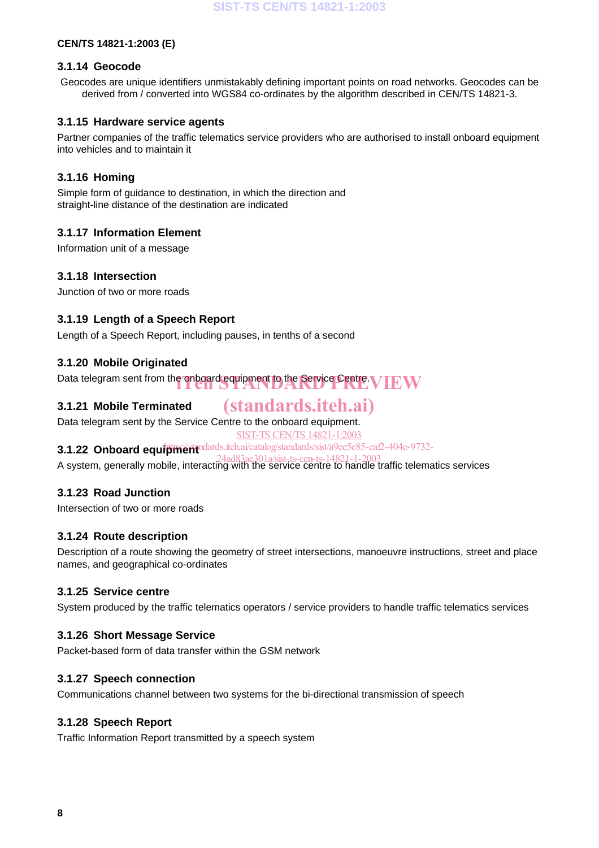#### **CEN/TS 14821-1:2003 (E)**

#### **3.1.14 Geocode**

Geocodes are unique identifiers unmistakably defining important points on road networks. Geocodes can be derived from / converted into WGS84 co-ordinates by the algorithm described in CEN/TS 14821-3.

#### **3.1.15 Hardware service agents**

Partner companies of the traffic telematics service providers who are authorised to install onboard equipment into vehicles and to maintain it

#### **3.1.16 Homing**

Simple form of guidance to destination, in which the direction and straight-line distance of the destination are indicated

#### **3.1.17 Information Element**

Information unit of a message

#### **3.1.18 Intersection**

Junction of two or more roads

#### **3.1.19 Length of a Speech Report**

Length of a Speech Report, including pauses, in tenths of a second

#### **3.1.20 Mobile Originated**

Data telegram sent from the onboard equipment to the Service Centre.  $\bf{V}\bf{EW}$ 

#### **3.1.21 Mobile Terminated**

# (standards.iteh.ai)

Data telegram sent by the Service Centre to the onboard equipment. SIST-TS CEN/TS 14821-1:2003

## **3.1.22 Onboard equipment** and archai/catalog/standards/sist/a9ee5c85-eaf2-404e-9732-

A system, generally mobile, interacting with the service centre to handle traffic telematics services 24ad83ac301a/sist-ts-cen-ts-14821-1-2003

#### **3.1.23 Road Junction**

Intersection of two or more roads

#### **3.1.24 Route description**

Description of a route showing the geometry of street intersections, manoeuvre instructions, street and place names, and geographical co-ordinates

#### **3.1.25 Service centre**

System produced by the traffic telematics operators / service providers to handle traffic telematics services

#### **3.1.26 Short Message Service**

Packet-based form of data transfer within the GSM network

#### **3.1.27 Speech connection**

Communications channel between two systems for the bi-directional transmission of speech

#### **3.1.28 Speech Report**

Traffic Information Report transmitted by a speech system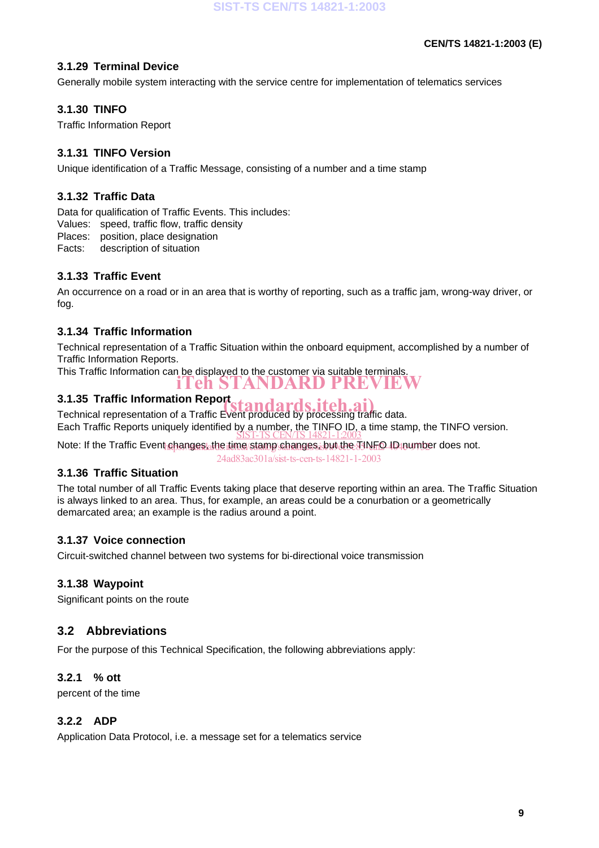#### **3.1.29 Terminal Device**

Generally mobile system interacting with the service centre for implementation of telematics services

#### **3.1.30 TINFO**

Traffic Information Report

#### **3.1.31 TINFO Version**

Unique identification of a Traffic Message, consisting of a number and a time stamp

#### **3.1.32 Traffic Data**

Data for qualification of Traffic Events. This includes:

Values: speed, traffic flow, traffic density

Places: position, place designation

Facts: description of situation

#### **3.1.33 Traffic Event**

An occurrence on a road or in an area that is worthy of reporting, such as a traffic jam, wrong-way driver, or fog.

#### **3.1.34 Traffic Information**

Technical representation of a Traffic Situation within the onboard equipment, accomplished by a number of Traffic Information Reports.

This Traffic Information can be displayed to the customer via suitable terminals.

iTeh STANDARD PREVIEW

#### **3.1.35 Traffic Information Report**

3.1.35 Traffic Information Report<br>Technical representation of a Traffic Event produced by processing traffic data. Each Traffic Reports uniquely identified by a number, the TINFO ID, a time stamp, the TINFO version.<br>SIST-TS CEN/TS 14821-1:2003

Note: If the Traffic Event changes, the time stamp changes, but the TINFO ID number does not.

24ad83ac301a/sist-ts-cen-ts-14821-1-2003

#### **3.1.36 Traffic Situation**

The total number of all Traffic Events taking place that deserve reporting within an area. The Traffic Situation is always linked to an area. Thus, for example, an areas could be a conurbation or a geometrically demarcated area; an example is the radius around a point.

#### **3.1.37 Voice connection**

Circuit-switched channel between two systems for bi-directional voice transmission

#### **3.1.38 Waypoint**

Significant points on the route

#### **3.2 Abbreviations**

For the purpose of this Technical Specification, the following abbreviations apply:

#### **3.2.1 % ott**

percent of the time

#### **3.2.2 ADP**

Application Data Protocol, i.e. a message set for a telematics service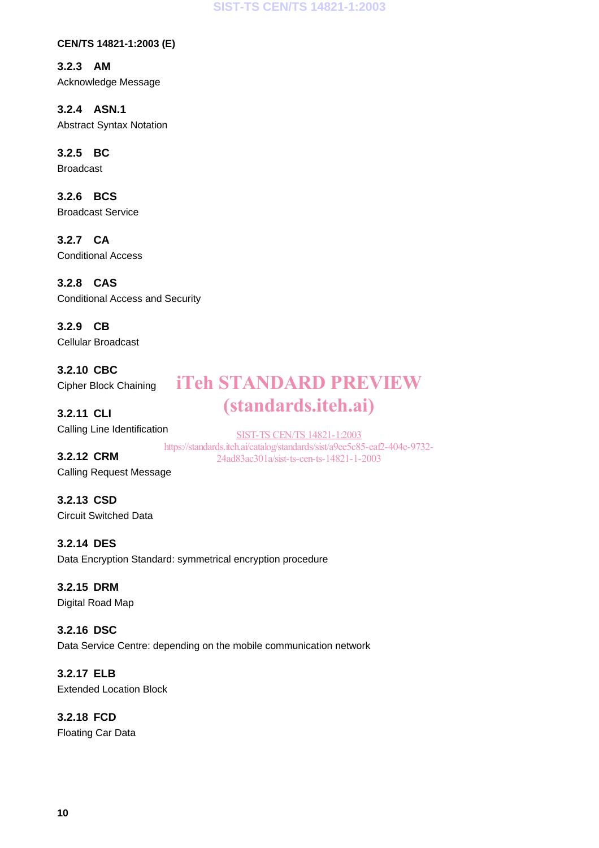**SIST-TS CEN/TS 14821-1:2003**

**CEN/TS 14821-1:2003 (E)**

**3.2.3 AM** Acknowledge Message

**3.2.4 ASN.1** Abstract Syntax Notation

**3.2.5 BC**

Broadcast

**3.2.6 BCS** Broadcast Service

**3.2.7 CA** Conditional Access

**3.2.8 CAS** Conditional Access and Security

**3.2.9 CB** Cellular Broadcast

**3.2.10 CBC** Cipher Block Chaining

**3.2.11 CLI** Calling Line Identification

SIST-TS CEN/TS 14821-1:2003 https://standards.iteh.ai/catalog/standards/sist/a9ee5c85-eaf2-404e-9732- 24ad83ac301a/sist-ts-cen-ts-14821-1-2003

iTeh STANDARD PREVIEW

(standards.iteh.ai)

**3.2.12 CRM** Calling Request Message

**3.2.13 CSD** Circuit Switched Data

**3.2.14 DES** Data Encryption Standard: symmetrical encryption procedure

# **3.2.15 DRM**

Digital Road Map

**3.2.16 DSC** Data Service Centre: depending on the mobile communication network

**3.2.17 ELB** Extended Location Block

**3.2.18 FCD** Floating Car Data